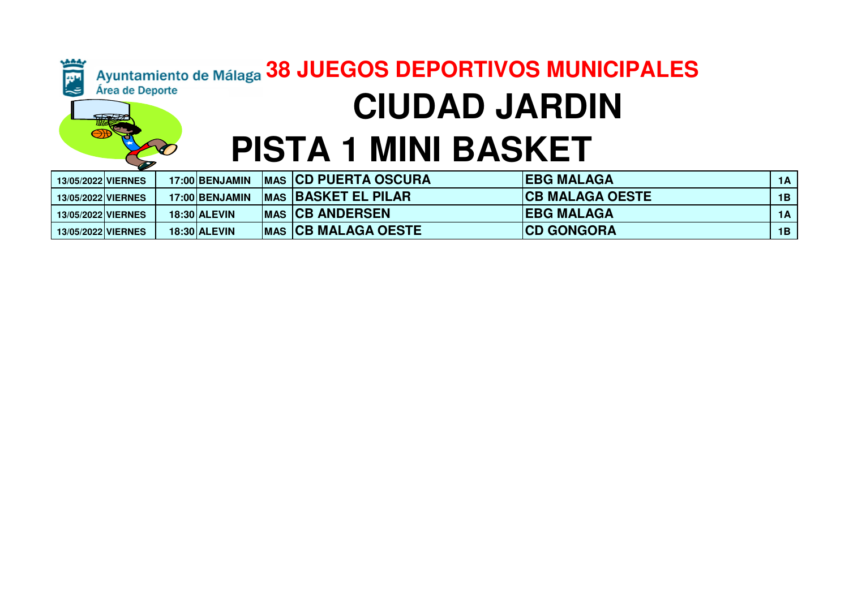#### Ayuntamiento de Málaga 38 JUEGOS DEPORTIVOS MUNICIPALES Ě Área de Deporte  **CIUDAD JARDINPISTA 1 MINI BASKET**

| 13/05/2022 VIERNES |  | 17:00 BENJAMIN      | <b>IMAS ICD PUERTA OSCURA</b> | <b>IEBG MALAGA</b>      | 1A |
|--------------------|--|---------------------|-------------------------------|-------------------------|----|
| 13/05/2022 VIERNES |  | 17:00 BENJAMIN      | <b>IMAS BASKET EL PILAR</b>   | <b>ICB MALAGA OESTE</b> | 1B |
| 13/05/2022 VIERNES |  | <b>18:30 ALEVIN</b> | <b>IMAS CB ANDERSEN</b>       | <b>IEBG MALAGA</b>      | 1A |
| 13/05/2022 VIERNES |  | <b>18:30 ALEVIN</b> | <b>MAS CB MALAGA OESTE</b>    | <b>CD GONGORA</b>       | 1B |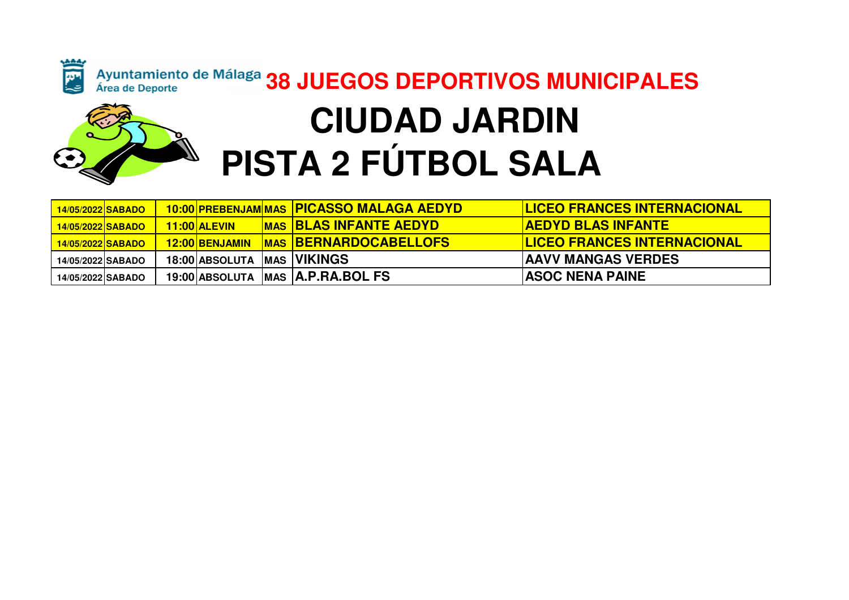

# Ayuntamiento de Málaga 38 JUEGOS DEPORTIVOS MUNICIPALES  **CIUDAD JARDINPISTA 2 FÚTBOL SALA**

| 14/05/2022 SABADO |  |                | 10:00 PREBENJAM MAS PICASSO MALAGA AEDYD | <b>ILICEO FRANCES INTERNACIONAL</b> |
|-------------------|--|----------------|------------------------------------------|-------------------------------------|
| 14/05/2022 SABADO |  | 11:00 ALEVIN   | <b>IMAS BLAS INFANTE AEDYD</b>           | <b>AEDYD BLAS INFANTE</b>           |
| 14/05/2022 SABADO |  | 12:00 BENJAMIN | <b>MAS BERNARDOCABELLOFS</b>             | <b>ILICEO FRANCES INTERNACIONAL</b> |
| 14/05/2022 SABADO |  | 18:00 ABSOLUTA | MAS   <b>VIKINGS</b>                     | <b>JAAVV MANGAS VERDES</b>          |
| 14/05/2022 SABADO |  |                | 19:00 ABSOLUTA MAS A.P.RA.BOL FS         | <b>ASOC NENA PAINE</b>              |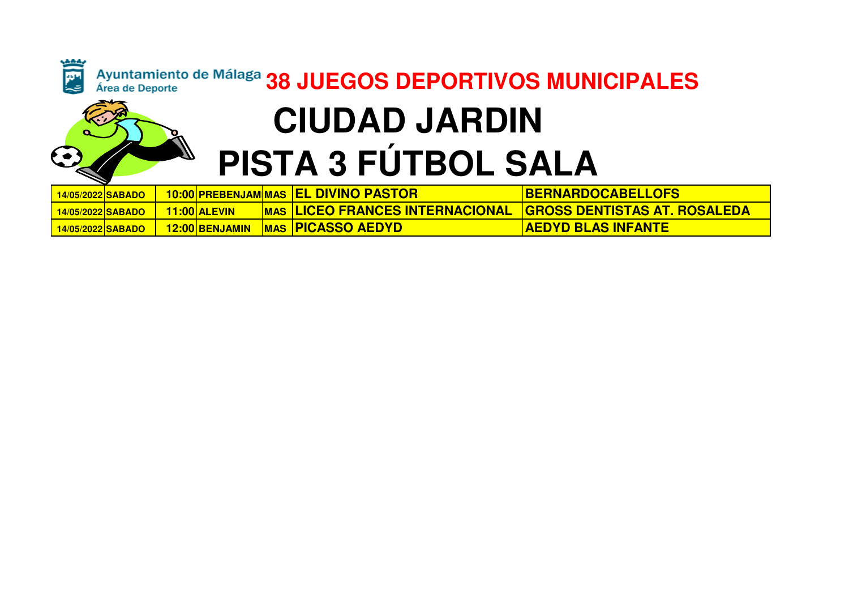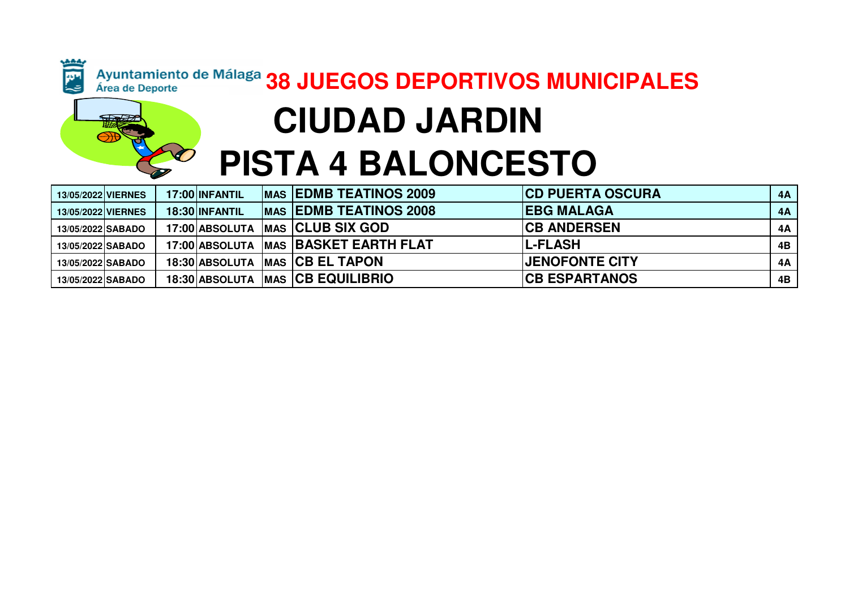### Ayuntamiento de Málaga 38 JUEGOS DEPORTIVOS MUNICIPALES **CIUDAD JARDIN**

**A** 

# **PISTA 4 BALONCESTO**

| <b>13/05/2022 VIERNES</b> |  | 17:00 INFANTIL | <b>MAS EDMB TEATINOS 2009</b>            | <b>CD PUERTA OSCURA</b> | 4A |
|---------------------------|--|----------------|------------------------------------------|-------------------------|----|
| <b>13/05/2022 VIERNES</b> |  | 18:30 INFANTIL | <b>MAS EDMB TEATINOS 2008</b>            | <b>IEBG MALAGA</b>      | 4A |
| 13/05/2022 SABADO         |  |                | 17:00 ABSOLUTA   MAS   CLUB SIX GOD      | <b>ICB ANDERSEN</b>     | 4A |
| 13/05/2022 SABADO         |  |                | 17:00 ABSOLUTA   MAS   BASKET EARTH FLAT | <b>IL-FLASH</b>         | 4B |
| 13/05/2022 SABADO         |  |                | 18:30 ABSOLUTA   MAS   CB EL TAPON       | <b>JENOFONTE CITY</b>   | 4A |
| 13/05/2022 SABADO         |  |                | 18:30 ABSOLUTA   MAS   CB EQUILIBRIO     | <b>ICB ESPARTANOS</b>   | 4B |